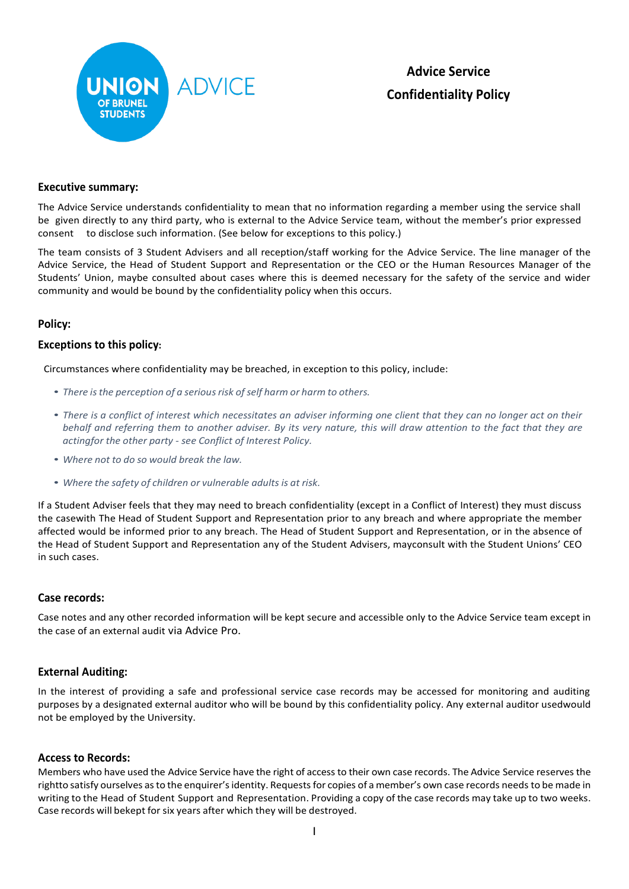

**Advice Service Confidentiality Policy**

### **Executive summary:**

The Advice Service understands confidentiality to mean that no information regarding a member using the service shall be given directly to any third party, who is external to the Advice Service team, without the member's prior expressed consent to disclose such information. (See below for exceptions to this policy.)

The team consists of 3 Student Advisers and all reception/staff working for the Advice Service. The line manager of the Advice Service, the Head of Student Support and Representation or the CEO or the Human Resources Manager of the Students' Union, maybe consulted about cases where this is deemed necessary for the safety of the service and wider community and would be bound by the confidentiality policy when this occurs.

# **Policy:**

### **Exceptions to this policy:**

Circumstances where confidentiality may be breached, in exception to this policy, include:

- *There isthe perception of a seriousrisk ofself harm or harm to others.*
- *There is a conflict of interest which necessitates an adviser informing one client that they can no longer act on their* behalf and referring them to another adviser. By its very nature, this will draw attention to the fact that they are *actingfor the other party - see Conflict of Interest Policy.*
- *Where not to do so would break the law.*
- *Where the safety of children or vulnerable adultsis at risk.*

If a Student Adviser feels that they may need to breach confidentiality (except in a Conflict of Interest) they must discuss the casewith The Head of Student Support and Representation prior to any breach and where appropriate the member affected would be informed prior to any breach. The Head of Student Support and Representation, or in the absence of the Head of Student Support and Representation any of the Student Advisers, mayconsult with the Student Unions' CEO in such cases.

#### **Case records:**

Case notes and any other recorded information will be kept secure and accessible only to the Advice Service team except in the case of an external audit via Advice Pro.

#### **External Auditing:**

In the interest of providing a safe and professional service case records may be accessed for monitoring and auditing purposes by a designated external auditor who will be bound by this confidentiality policy. Any external auditor usedwould not be employed by the University.

#### **Access to Records:**

Members who have used the Advice Service have the right of access to their own case records. The Advice Service reserves the rightto satisfy ourselves asto the enquirer'sidentity. Requestsfor copies of a member's own case records needs to be made in writing to the Head of Student Support and Representation. Providing a copy of the case records may take up to two weeks. Case records will bekept for six years after which they will be destroyed.